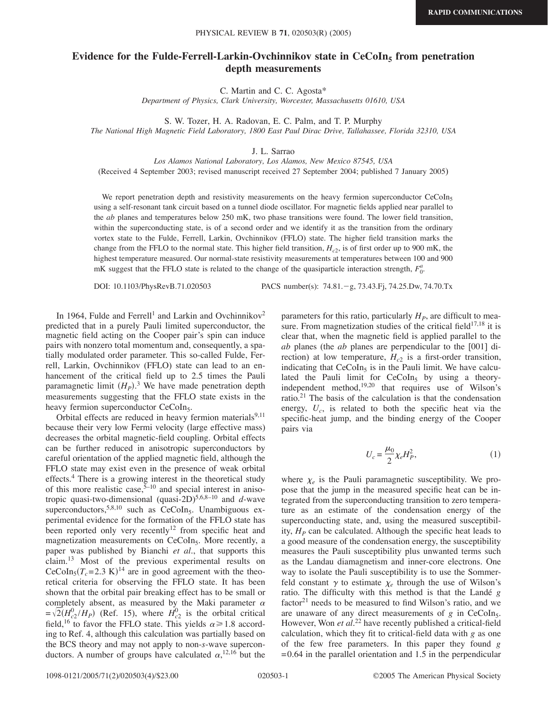## **Evidence** for the Fulde-Ferrell-Larkin-Ovchinnikov state in CeCoIn<sub>5</sub> from penetration **depth measurements**

C. Martin and C. C. Agosta\*

*Department of Physics, Clark University, Worcester, Massachusetts 01610, USA*

S. W. Tozer, H. A. Radovan, E. C. Palm, and T. P. Murphy

*The National High Magnetic Field Laboratory, 1800 East Paul Dirac Drive, Tallahassee, Florida 32310, USA*

J. L. Sarrao

*Los Alamos National Laboratory, Los Alamos, New Mexico 87545, USA* (Received 4 September 2003; revised manuscript received 27 September 2004; published 7 January 2005)

We report penetration depth and resistivity measurements on the heavy fermion superconductor  $CeCoIn<sub>5</sub>$ using a self-resonant tank circuit based on a tunnel diode oscillator. For magnetic fields applied near parallel to the *ab* planes and temperatures below 250 mK, two phase transitions were found. The lower field transition, within the superconducting state, is of a second order and we identify it as the transition from the ordinary vortex state to the Fulde, Ferrell, Larkin, Ovchinnikov (FFLO) state. The higher field transition marks the change from the FFLO to the normal state. This higher field transition, *Hc*2, is of first order up to 900 mK, the highest temperature measured. Our normal-state resistivity measurements at temperatures between 100 and 900 mK suggest that the FFLO state is related to the change of the quasiparticle interaction strength,  $F_0^a$ .

DOI: 10.1103/PhysRevB.71.020503 PACS number(s): 74.81. - g, 73.43.Fj, 74.25.Dw, 74.70.Tx

In 1964, Fulde and Ferrell<sup>1</sup> and Larkin and Ovchinnikov<sup>2</sup> predicted that in a purely Pauli limited superconductor, the magnetic field acting on the Cooper pair's spin can induce pairs with nonzero total momentum and, consequently, a spatially modulated order parameter. This so-called Fulde, Ferrell, Larkin, Ovchinnikov (FFLO) state can lead to an enhancement of the critical field up to 2.5 times the Pauli paramagnetic limit  $(H_P)$ .<sup>3</sup> We have made penetration depth measurements suggesting that the FFLO state exists in the heavy fermion superconductor CeCoIn<sub>5</sub>.

Orbital effects are reduced in heavy fermion materials<sup>9,11</sup> because their very low Fermi velocity (large effective mass) decreases the orbital magnetic-field coupling. Orbital effects can be further reduced in anisotropic superconductors by careful orientation of the applied magnetic field, although the FFLO state may exist even in the presence of weak orbital effects.<sup>4</sup> There is a growing interest in the theoretical study of this more realistic case,  $5-10$  and special interest in anisotropic quasi-two-dimensional (quasi-2D) 5,6,8–10 and *d*-wave superconductors,<sup>5,8,10</sup> such as  $CeCoIn<sub>5</sub>$ . Unambiguous experimental evidence for the formation of the FFLO state has been reported only very recently<sup>12</sup> from specific heat and magnetization measurements on CeCoIn<sub>5</sub>. More recently, a paper was published by Bianchi *et al.*, that supports this claim.13 Most of the previous experimental results on  $CeCoIn<sub>5</sub>(T<sub>c</sub>=2.3 K)<sup>14</sup>$  are in good agreement with the theoretical criteria for observing the FFLO state. It has been shown that the orbital pair breaking effect has to be small or completely absent, as measured by the Maki parameter  $\alpha$  $=\sqrt{2}(H_{c2}^0/H_P)$  (Ref. 15), where  $H_{c2}^0$  is the orbital critical field,<sup>16</sup> to favor the FFLO state. This yields  $\alpha \ge 1.8$  according to Ref. 4, although this calculation was partially based on the BCS theory and may not apply to non-*s*-wave superconductors. A number of groups have calculated  $\alpha$ ,<sup>12,16</sup> but the

parameters for this ratio, particularly  $H<sub>P</sub>$ , are difficult to measure. From magnetization studies of the critical field $17,18$  it is clear that, when the magnetic field is applied parallel to the *ab* planes (the *ab* planes are perpendicular to the [001] direction) at low temperature,  $H_{c2}$  is a first-order transition, indicating that  $CeCoIn<sub>5</sub>$  is in the Pauli limit. We have calculated the Pauli limit for  $CeCoIn<sub>5</sub>$  by using a theoryindependent method,<sup>19,20</sup> that requires use of Wilson's ratio.21 The basis of the calculation is that the condensation energy,  $U_c$ , is related to both the specific heat via the specific-heat jump, and the binding energy of the Cooper pairs via

$$
U_c = \frac{\mu_0}{2} \chi_e H_P^2,\tag{1}
$$

where  $\chi_e$  is the Pauli paramagnetic susceptibility. We propose that the jump in the measured specific heat can be integrated from the superconducting transition to zero temperature as an estimate of the condensation energy of the superconducting state, and, using the measured susceptibility,  $H<sub>P</sub>$  can be calculated. Although the specific heat leads to a good measure of the condensation energy, the susceptibility measures the Pauli susceptibility plus unwanted terms such as the Landau diamagnetism and inner-core electrons. One way to isolate the Pauli susceptibility is to use the Sommerfeld constant  $\gamma$  to estimate  $\chi_e$  through the use of Wilson's ratio. The difficulty with this method is that the Landé *g* factor<sup>21</sup> needs to be measured to find Wilson's ratio, and we are unaware of any direct measurements of  $g$  in CeCoIn<sub>5</sub>. However, Won *et al.*<sup>22</sup> have recently published a critical-field calculation, which they fit to critical-field data with *g* as one of the few free parameters. In this paper they found *g*  $=0.64$  in the parallel orientation and 1.5 in the perpendicular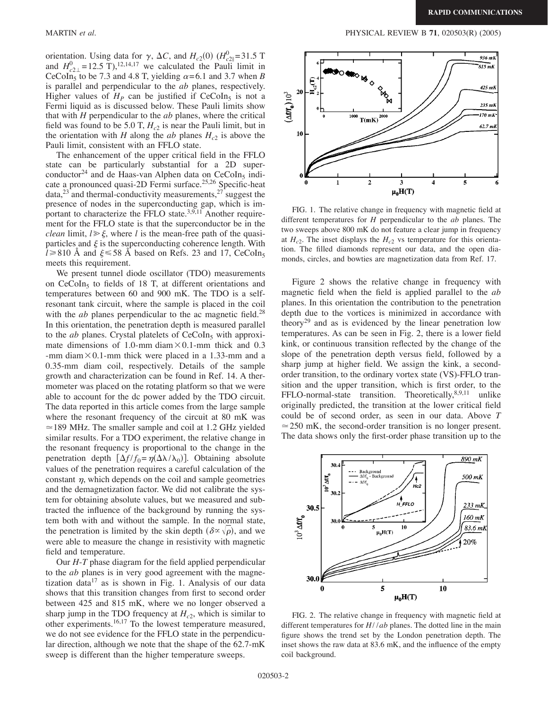orientation. Using data for  $\gamma$ ,  $\Delta C$ , and  $H_{c2}(0)$  ( $H_{c2\parallel}^{0}=31.5$  T and  $H_{c2\perp}^{0}$  = 12.5 T),<sup>12,14,17</sup> we calculated the Pauli limit in CeCoIn<sub>5</sub> to be 7.3 and 4.8 T, yielding  $\alpha = 6.1$  and 3.7 when *B* is parallel and perpendicular to the *ab* planes, respectively. Higher values of  $H<sub>P</sub>$  can be justified if CeCoIn<sub>5</sub> is not a Fermi liquid as is discussed below. These Pauli limits show that with *H* perpendicular to the *ab* planes, where the critical field was found to be 5.0 T,  $H_{c2}$  is near the Pauli limit, but in the orientation with *H* along the *ab* planes  $H_{c2}$  is above the Pauli limit, consistent with an FFLO state.

The enhancement of the upper critical field in the FFLO state can be particularly substantial for a 2D superconductor<sup>24</sup> and de Haas-van Alphen data on CeCoIn<sub>5</sub> indicate a pronounced quasi-2D Fermi surface.<sup>25,26</sup> Specific-heat data, $^{23}$  and thermal-conductivity measurements, $^{27}$  suggest the presence of nodes in the superconducting gap, which is important to characterize the FFLO state.<sup>3,9,11</sup> Another requirement for the FFLO state is that the superconductor be in the *clean* limit,  $l \ge \xi$ , where *l* is the mean-free path of the quasiparticles and  $\xi$  is the superconducting coherence length. With  $l \ge 810$  Å and  $\xi \le 58$  Å based on Refs. 23 and 17, CeCoIn<sub>5</sub> meets this requirement.

We present tunnel diode oscillator (TDO) measurements on CeCoIn<sub>5</sub> to fields of 18 T, at different orientations and temperatures between 60 and 900 mK. The TDO is a selfresonant tank circuit, where the sample is placed in the coil with the *ab* planes perpendicular to the ac magnetic field.<sup>28</sup> In this orientation, the penetration depth is measured parallel to the *ab* planes. Crystal platelets of  $CeCoIn<sub>5</sub>$  with approximate dimensions of 1.0-mm diam $\times$ 0.1-mm thick and 0.3 -mm diam $\times$ 0.1-mm thick were placed in a 1.33-mm and a 0.35-mm diam coil, respectively. Details of the sample growth and characterization can be found in Ref. 14. A thermometer was placed on the rotating platform so that we were able to account for the dc power added by the TDO circuit. The data reported in this article comes from the large sample where the resonant frequency of the circuit at 80 mK was  $\simeq$  189 MHz. The smaller sample and coil at 1.2 GHz yielded similar results. For a TDO experiment, the relative change in the resonant frequency is proportional to the change in the penetration depth  $[\Delta f/f_0 = \eta(\Delta \lambda/\lambda_0)]$ . Obtaining absolute values of the penetration requires a careful calculation of the constant  $\eta$ , which depends on the coil and sample geometries and the demagnetization factor. We did not calibrate the system for obtaining absolute values, but we measured and subtracted the influence of the background by running the system both with and without the sample. In the normal state, the penetration is limited by the skin depth  $(\delta \propto \sqrt{\rho})$ , and we were able to measure the change in resistivity with magnetic field and temperature.

Our *H*-*T* phase diagram for the field applied perpendicular to the *ab* planes is in very good agreement with the magnetization data $17$  as is shown in Fig. 1. Analysis of our data shows that this transition changes from first to second order between 425 and 815 mK, where we no longer observed a sharp jump in the TDO frequency at  $H_{c2}$ , which is similar to other experiments.<sup>16,17</sup> To the lowest temperature measured, we do not see evidence for the FFLO state in the perpendicular direction, although we note that the shape of the 62.7-mK sweep is different than the higher temperature sweeps.



FIG. 1. The relative change in frequency with magnetic field at different temperatures for *H* perpendicular to the *ab* planes. The two sweeps above 800 mK do not feature a clear jump in frequency at  $H_{c2}$ . The inset displays the  $H_{c2}$  vs temperature for this orientation. The filled diamonds represent our data, and the open diamonds, circles, and bowties are magnetization data from Ref. 17.

Figure 2 shows the relative change in frequency with magnetic field when the field is applied parallel to the *ab* planes. In this orientation the contribution to the penetration depth due to the vortices is minimized in accordance with theory<sup>29</sup> and as is evidenced by the linear penetration low temperatures. As can be seen in Fig. 2, there is a lower field kink, or continuous transition reflected by the change of the slope of the penetration depth versus field, followed by a sharp jump at higher field. We assign the kink, a secondorder transition, to the ordinary vortex state (VS)-FFLO transition and the upper transition, which is first order, to the FFLO-normal-state transition. Theoretically,<sup>8,9,11</sup> unlike originally predicted, the transition at the lower critical field could be of second order, as seen in our data. Above *T*  $\approx$  250 mK, the second-order transition is no longer present. The data shows only the first-order phase transition up to the



FIG. 2. The relative change in frequency with magnetic field at different temperatures for *H*/ /*ab* planes. The dotted line in the main figure shows the trend set by the London penetration depth. The inset shows the raw data at 83.6 mK, and the influence of the empty coil background.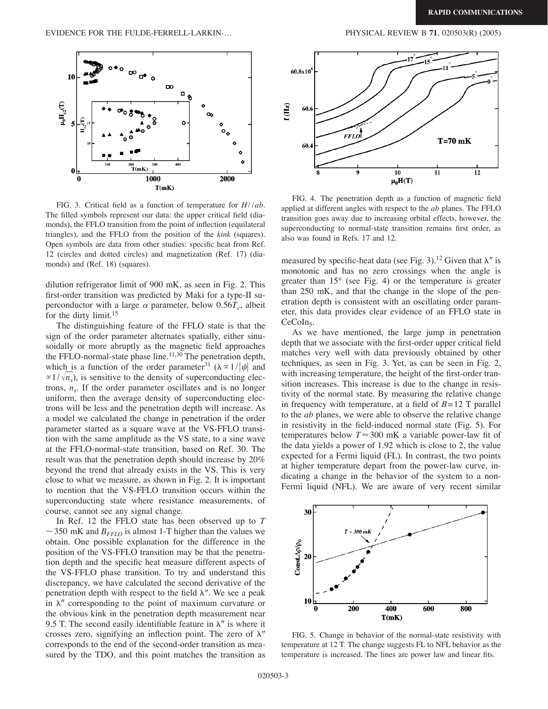

FIG. 3. Critical field as a function of temperature for *H*/ /*ab*. The filled symbols represent our data: the upper critical field (diamonds), the FFLO transition from the point of inflection (equilateral triangles), and the FFLO from the position of the *kink* (squares). Open symbols are data from other studies: specific heat from Ref. 12 (circles and dotted circles) and magnetization (Ref. 17) (diamonds) and (Ref. 18) (squares).

dilution refrigerator limit of 900 mK, as seen in Fig. 2. This first-order transition was predicted by Maki for a type-II superconductor with a large  $\alpha$  parameter, below 0.56 $T_c$ , albeit for the dirty limit.<sup>15</sup>

The distinguishing feature of the FFLO state is that the sign of the order parameter alternates spatially, either sinusoidally or more abruptly as the magnetic field approaches the FFLO-normal-state phase line.<sup>11,30</sup> The penetration depth, which is a function of the order parameter<sup>31</sup> ( $\lambda \propto 1/|\psi|$  and  $\alpha$ 1/ $\sqrt{n_s}$ , is sensitive to the density of superconducting electrons,  $n<sub>s</sub>$ . If the order parameter oscillates and is no longer uniform, then the average density of superconducting electrons will be less and the penetration depth will increase. As a model we calculated the change in penetration if the order parameter started as a square wave at the VS-FFLO transition with the same amplitude as the VS state, to a sine wave at the FFLO-normal-state transition, based on Ref. 30. The result was that the penetration depth should increase by 20% beyond the trend that already exists in the VS. This is very close to what we measure, as shown in Fig. 2. It is important to mention that the VS-FFLO transition occurs within the superconducting state where resistance measurements, of course, cannot see any signal change.

In Ref. 12 the FFLO state has been observed up to *T*  $\sim$  350 mK and  $B_{FFLO}$  is almost 1-T higher than the values we obtain. One possible explanation for the difference in the position of the VS-FFLO transition may be that the penetration depth and the specific heat measure different aspects of the VS-FFLO phase transition. To try and understand this discrepancy, we have calculated the second derivative of the penetration depth with respect to the field  $\lambda''$ . We see a peak in  $\lambda''$  corresponding to the point of maximum curvature or the obvious kink in the penetration depth measurement near 9.5 T. The second easily identifiable feature in  $\lambda''$  is where it crosses zero, signifying an inflection point. The zero of  $\lambda''$ corresponds to the end of the second-order transition as measured by the TDO, and this point matches the transition as



FIG. 4. The penetration depth as a function of magnetic field applied at different angles with respect to the *ab* planes. The FFLO transition goes away due to increasing orbital effects, however, the superconducting to normal-state transition remains first order, as also was found in Refs. 17 and 12.

measured by specific-heat data (see Fig. 3).<sup>12</sup> Given that  $\lambda''$  is monotonic and has no zero crossings when the angle is greater than 15° (see Fig. 4) or the temperature is greater than 250 mK, and that the change in the slope of the penetration depth is consistent with an oscillating order parameter, this data provides clear evidence of an FFLO state in  $CeCoIn<sub>5</sub>$ .

As we have mentioned, the large jump in penetration depth that we associate with the first-order upper critical field matches very well with data previously obtained by other techniques, as seen in Fig. 3. Yet, as can be seen in Fig. 2, with increasing temperature, the height of the first-order transition increases. This increase is due to the change in resistivity of the normal state. By measuring the relative change in frequency with temperature, at a field of  $B=12$  T parallel to the *ab* planes, we were able to observe the relative change in resistivity in the field-induced normal state (Fig. 5). For temperatures below  $T \approx 300$  mK a variable power-law fit of the data yields a power of 1.92 which is close to 2, the value expected for a Fermi liquid (FL). In contrast, the two points at higher temperature depart from the power-law curve, indicating a change in the behavior of the system to a non-Fermi liquid (NFL). We are aware of very recent similar



FIG. 5. Change in behavior of the normal-state resistivity with temperature at 12 T. The change suggests FL to NFL behavior as the temperature is increased. The lines are power law and linear fits.